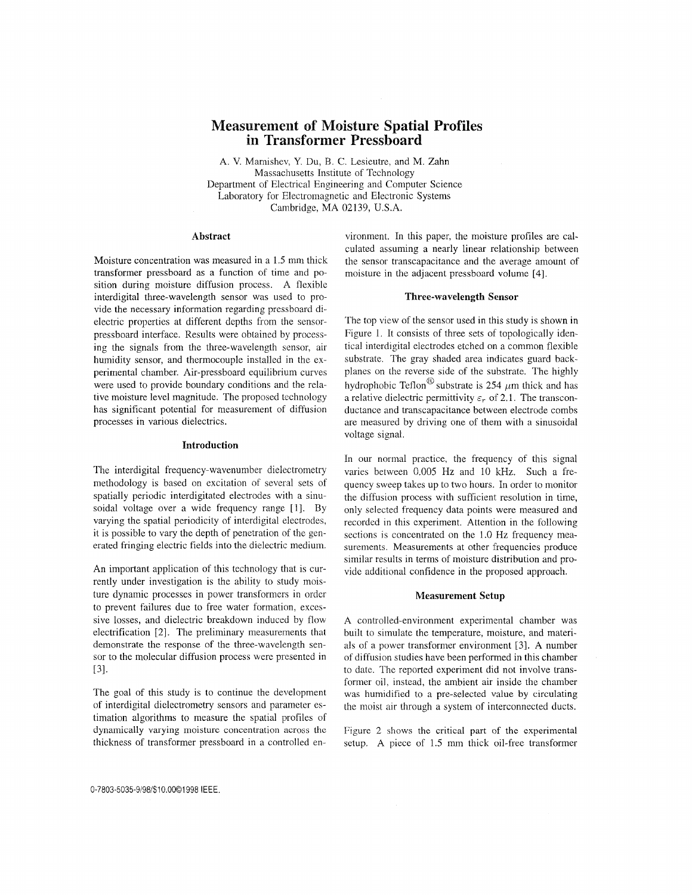# **Measurement of Moisture Spatial Profiles in Transformer Pressboard**

**A.** V. Marnishev, Y. Du, B. C. Lesieutre, and M. Zahn Massachusetts Institute of Technology Department of Electrical Engineering and Computer Science Laboratory for Electromagnetic and Electronic Systems Cambridge, MA 02139, U.S.A.

## **Abstract**

Moisture concentration was measured in a 1.5 mm thick transformer pressboard as a function of time and position during moisture diffusion process. A flexible interdigital three-wavelength sensor was used to provide the necessary information regarding pressboard dielectric properties at different depths from the sensorpressboard interface. Results were obtained by processing the signals from the three-wavelength sensor, air humidity sensor, and thermocouple installed in the experimental chamber. Air-pressboard equilibrium curves were used to provide boundary conditions and the relative moisture level magnitude. The proposed technology has significant potential for measurement of diffusion processes in various dielectrics.

#### **Introduction**

The interdigital frequency-wavenumber dielectrometry methodology is based on excitation of several sets of spatially periodic interdigitated electrodes with a sinusoidal voltage over a wide frequency range [1]. By varying the spatial periodicity of interdigital electrodes, it is possible to vary the depth of penetration of the generated fringing electric fields into the diclectric medium.

An important application of this technology that is currently under investigation is the ability to study moisture dynamic processes in power transformers in order to prevent failures due to free water formation, excessive losses, and dielectric breakdown induced by flow electrification [2]. The preliminary measurements that demonstrate the response of the three-wavelength sensor to the molecular diffusion process were presented in ~31.

The goal of this study is to continue the development of interdigital dielectrometry sensors and parameter estimation algorithms to measure the spatial profiles of dynamically varying moisturc concentration across the thickness of transformer pressboard in a controlled en-

vironment. In this paper, the moisture profiles are calculated assuming a nearly linear relationship between the sensor transcapacitance and the average amount of moisture in the adjacent pressboard volume [4].

## **Three-wavelength Sensor**

The top view of the sensor used in this study is shown in Figure 1. It consists of three sets of topologically identical interdigital electrodes etched on a common flexible substrate. The gray shaded area indicates guard backplanes on the reverse side of the substrate. The highly hydrophobic Teflon<sup>®</sup> substrate is 254  $\mu$ m thick and has a relative dielectric permittivity  $\varepsilon_r$  of 2.1. The transconductance and transcapacitance between electrode combs are measured by driving one of them with a sinusoidal voltage signal.

In our normal practice, the frequency of this signal varies between 0.005 Hz and 10 **kHz.** Such a frequency sweep takes up to two hours. In order to monitor the diffusion process with sufficient resolution in time, only selected frequency data points were measured and recorded in this experiment. Attention in the following sections is concentrated on the 1.0 Hz frequency measurements. Measurements at other frequencies produce similar results in terms of moisture distribution and provide additional confidence in the proposed approach.

#### **Measurement Setup**

A controlled-environment experimental chamber was built to simulate the temperature, moisture, and materials of a power transformer environrnent *[3].* **A** number of diffusion studies have been performed in this chamber to date. The reported experiment did not involve transformer oil, instead, the ambient air inside the chamber was humidified to a pre-selected value by circulating the moist air through a system of interconnected ducts.

Figure 2 shows the critical part of the experimental setup. **A** piece of 1.5 mm thick oil-free transformer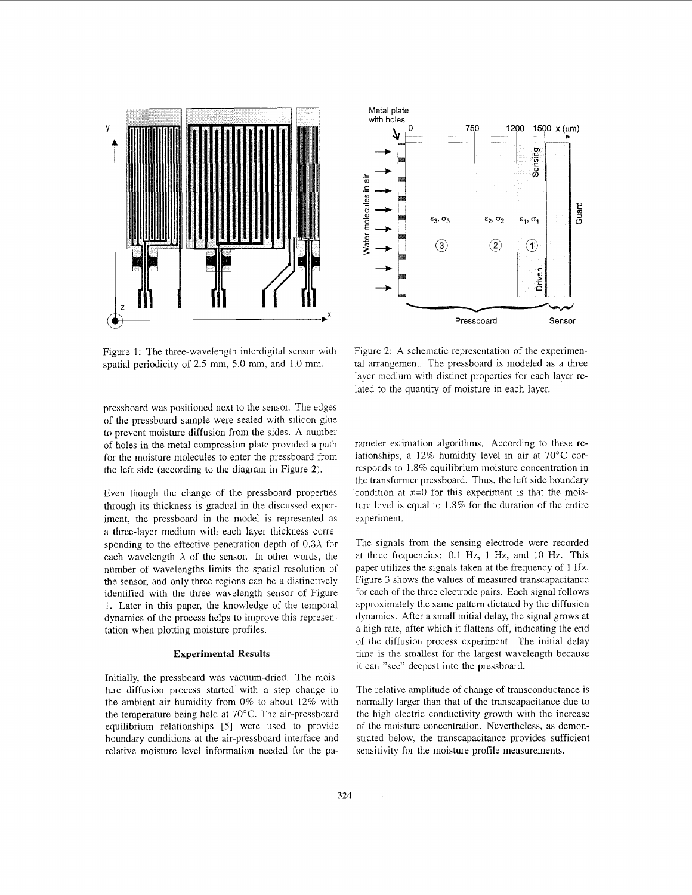

Figure 1: The three-wavelength interdigital sensor with spatial periodicity of 2.5 mm, 5.0 mm, and 1.0 mm.

pressboard was positioned next to the sensor. The edges of the pressboard sample were sealed with silicon glue to prevent moisture diffusion from the sides. A number of holes in the metal compression plate provided a path for the moisture molecules to enter the pressboard from the left side (according to the diagram in Figure 2).

Even though the change of the pressboard properties through its thickness is gradual in the discussed experiment, the pressboard in the model is represented as a three-layer medium with each layer thickness corresponding to the effective penetration depth of  $0.3\lambda$  for each wavelength  $\lambda$  of the sensor. In other words, the number of wavelengths limits the spatial resolution of the sensor, and only three regions can be a distinctively identified with the three wavelength sensor of Figure 1. Later in this paper, the knowledge of the temporal dynamics of the process helps to improve this representation when plotting moisture profiles.

## **Experimental Results**

Initially, the pressboard was vacuum-dried. The moisture diffusion process started with a step change in the ambient air humidity from 0% to about 12% with the temperature being held at 70°C. The air-pressboard equilibrium relationships *[5]* were used to provide boundary conditions at the air-pressboard interface and relative moisture level information needed for the pa-



Figure 2: A schematic representation of the experimental arrangement. The pressboard is modeled as a three layer medium with distinct properties for each layer related to the quantity of moisture in each layer.

rameter estimation algorithms. According to these relationships, a 12% humidity level in air at 70°C corresponds to 1.8% equilibrium moisture concentration in the transformer pressboard. Thus, the left side boundary condition at  $x=0$  for this experiment is that the moisture level is equal to 1.8% for the duration of the entire experiment.

The signals from the sensing electrode were recorded at three frequencies: 0.1 Hz, 1 Hz, and 10 Hz. This paper utilizes the signals taken at the frequency of 1 Hz. Figure 3 shows the values of measured transcapacitance for each of the three electrode pairs. Each signal follows approximately the same pattern dictated by the diffusion dynamics. After a small initial delay, the signal grows at a high rate, after which it flattens off, indicating the end of the diffusion process experiment. The initial delay time is the smallest for the largest wavelength because it can "see" deepest into the pressboard.

The relative amplitude of change of transconductance is normally larger than that of the transcapacitance due to the high electric conductivity growth with the increase of the moisture concentration. Nevertheless, as demonstrated below, the transcapacitance provides sufficient sensitivity for the moisture profile measurements.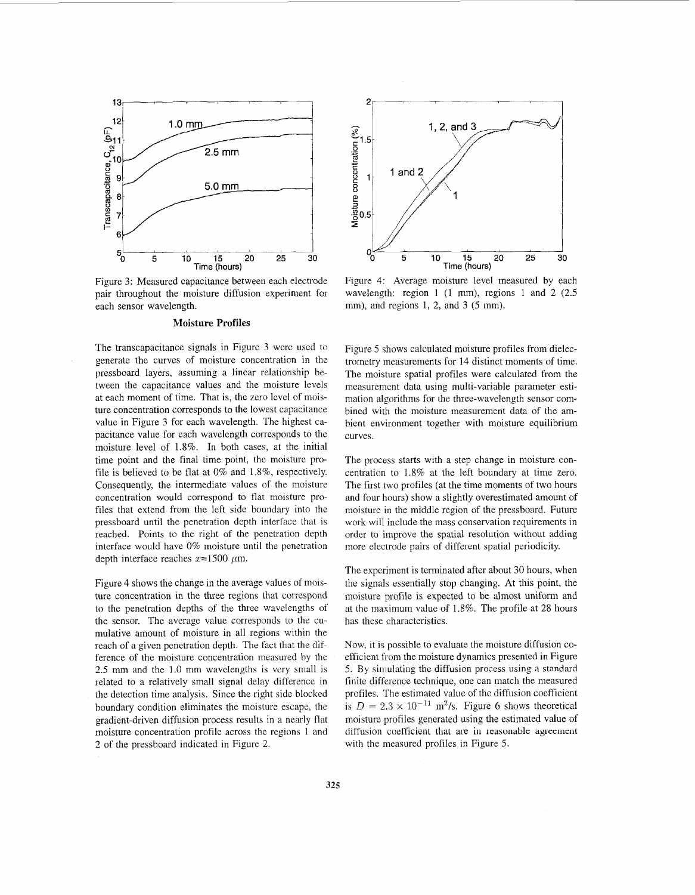

Figure 3: Measured capacitance between each electrode pair throughout the moisture diffusion experiment for each sensor wavelength.

### **Moisture Profiles**

The transcapacitance signals in Figure 3 were used to generate the curves of moisture concentration in the pressboard layers, assuming a linear relationship between the capacitance values and the moisture levels at each moment of time. That is, the zero level of moisture concentration corresponds to the lowest capacitance value in Figure 3 for each wavelength. The highest capacitance value for each wavelength corresponds to the moisture level of 1.8%. In both cases, at the initial time point and the final time point, the moisture profile is believed to be flat at  $0\%$  and  $1.8\%$ , respectively. Consequently, the intermediate values of the moisture concentration would correspond to flal moisture profiles that extend from the left side boundary into the pressboard until the pcnetration depth interface that is reached. Points to the right of the penetration depth interface would have 0% moisture until the penetration depth interface reaches  $x=1500 \mu m$ .

Figure 4 shows the change in the average values of moisture concentration in the three regions that correspond to the penetration depths of the three wavelengths of the sensor. The average value corresponds to the cumulative amount of moisture in all regions within the reach of a given penetration depth. The fact that the difference of the moisture concentration measured by the 2.5 mm and the 1.0 mm wavelengths is very small is related to a relatively small signal delay difference in the detection time analysis. Since the right side blocked boundary condition eliminates the moisture escape, the gradient-driven diffusion process results in a nearly flat moisture concentration profile across the regions 1 and 2 of the pressboard indicated in Figure 2.



Figure 4: Average moisture level measured by each wavelength: region 1 (1 mm), regions 1 and 2 (2.5) mm), and regions 1, 2, and 3 (5 mm).

Figure *5* shows calculated moisture profiles from dielectrometry measurements for **14** distinct moments of time. The moisture spatial profiles were calculated from the measurement data using multi-variable parameter estimation algorithms for the three-wavelength sensor combined with the moisture measurement data of the ambient environment together with moisture equilibrium curves.

The process starts with a step change in moisture concentration to 1.8% at the left boundary at time zero. The first two profiles (at the time moments of two hours and four hours) show a slightly overestimated amount of moisture in the middle region of the pressboard. Future work will include the mass conservation requirements in order to improve the spatial resolution without adding more electrode pairs of different spatial periodicity.

The experiment is terminated after about 30 hours, when the signals essentially stop changing. At this point, the moisture profile is expected to be almost uniform and at the maximum value of  $1.8\%$ . The profile at 28 hours has these characteristics.

Now, it is possible to evaluate the moisture diffusion coefficient from the moisture dynamics presented in Figure 5. By simulating the diffusion process using a standard finite difference technique, one can match thc measured profiles. The estimated value of the diffusion coefficient is  $D = 2.3 \times 10^{-11}$  m<sup>2</sup>/s. Figure 6 shows theoretical moisture profiles generated using the estimated value of diffusion coefficient that are in reasonable agreement with the measured profiles in Figure 5.